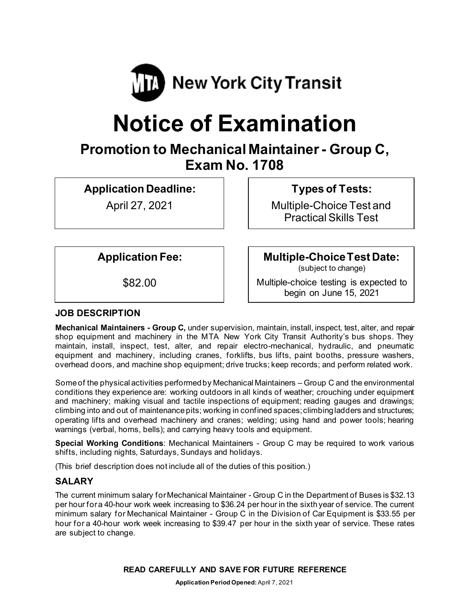

# **Notice of Examination**

# **Promotion to Mechanical Maintainer - Group C, Exam No. 1708**

**Application Deadline:**

April 27, 2021

**Types of Tests:** 

Multiple-Choice Test and Practical Skills Test

**Application Fee:**

\$82.00

**Multiple-Choice Test Date:**

(subject to change)

Multiple-choice testing is expected to begin on June 15, 2021

# **JOB DESCRIPTION**

**Mechanical Maintainers - Group C,** under supervision, maintain, install, inspect, test, alter, and repair shop equipment and machinery in the MTA New York City Transit Authority's bus shops. They maintain, install, inspect, test, alter, and repair electro-mechanical, hydraulic, and pneumatic equipment and machinery, including cranes, forklifts, bus lifts, paint booths, pressure washers, overhead doors, and machine shop equipment; drive trucks; keep records; and perform related work.

Someof the physical activities performedby Mechanical Maintainers – Group C and the environmental conditions they experience are: working outdoors in all kinds of weather; crouching under equipment and machinery; making visual and tactile inspections of equipment; reading gauges and drawings; climbing into and out of maintenance pits; working in confined spaces; climbing ladders and structures; operating lifts and overhead machinery and cranes; welding; using hand and power tools; hearing warnings (verbal, horns, bells); and carrying heavy tools and equipment.

**Special Working Conditions**: Mechanical Maintainers - Group C may be required to work various shifts, including nights, Saturdays, Sundays and holidays.

(This brief description does not include all of the duties of this position.)

# **SALARY**

The current minimum salary for Mechanical Maintainer - Group C in the Department of Buses is \$32.13 per hour for a 40-hour work week increasing to \$36.24 per hour in the sixth year of service. The current minimum salary for Mechanical Maintainer - Group C in the Division of Car Equipment is \$33.55 per hour for a 40-hour work week increasing to \$39.47 per hour in the sixth year of service. These rates are subject to change.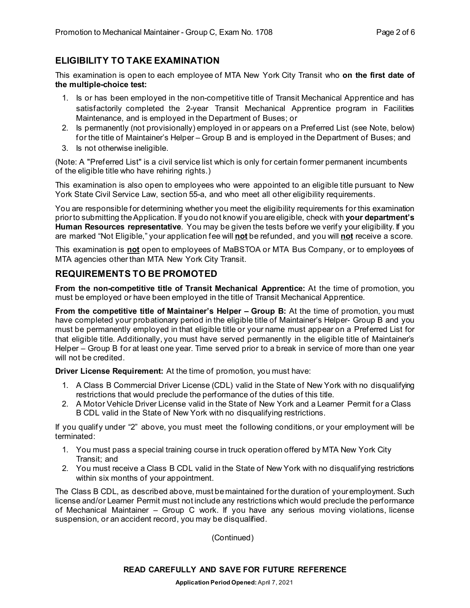#### **ELIGIBILITY TO TAKE EXAMINATION**

This examination is open to each employee of MTA New York City Transit who **on the first date of the multiple-choice test:**

- 1. Is or has been employed in the non-competitive title of Transit Mechanical Apprentice and has satisfactorily completed the 2-year Transit Mechanical Apprentice program in Facilities Maintenance, and is employed in the Department of Buses; or
- 2. Is permanently (not provisionally) employed in or appears on a Preferred List (see Note, below) for the title of Maintainer's Helper – Group B and is employed in the Department of Buses; and
- 3. Is not otherwise ineligible.

(Note: A "Preferred List" is a civil service list which is only for certain former permanent incumbents of the eligible title who have rehiring rights.)

This examination is also open to employees who were appointed to an eligible title pursuant to New York State Civil Service Law, section 55-a, and who meet all other eligibility requirements.

You are responsible for determining whether you meet the eligibility requirements for this examination prior to submitting the Application. If you do not know if you are eligible, check with **your department's Human Resources representative**. You may be given the tests before we verify your eligibility. If you are marked "Not Eligible," your application fee will **not** be refunded, and you will **not** receive a score.

This examination is **not** open to employees of MaBSTOA or MTA Bus Company, or to employees of MTA agencies other than MTA New York City Transit.

#### **REQUIREMENTS TO BE PROMOTED**

**From the non-competitive title of Transit Mechanical Apprentice:** At the time of promotion, you must be employed or have been employed in the title of Transit Mechanical Apprentice.

**From the competitive title of Maintainer's Helper – Group B:** At the time of promotion, you must have completed your probationary period in the eligible title of Maintainer's Helper- Group B and you must be permanently employed in that eligible title or your name must appear on a Preferred List for that eligible title. Additionally, you must have served permanently in the eligible title of Maintainer's Helper – Group B for at least one year. Time served prior to a break in service of more than one year will not be credited.

**Driver License Requirement:** At the time of promotion, you must have:

- 1. A Class B Commercial Driver License (CDL) valid in the State of New York with no disqualifying restrictions that would preclude the performance of the duties of this title.
- 2. A Motor Vehicle Driver License valid in the State of New York and a Learner Permit for a Class B CDL valid in the State of New York with no disqualifying restrictions.

If you qualify under "2" above, you must meet the following conditions, or your employment will be terminated:

- 1. You must pass a special training course in truck operation offered by MTA New York City Transit; and
- 2. You must receive a Class B CDL valid in the State of New York with no disqualifying restrictions within six months of your appointment.

The Class B CDL, as described above, must bemaintained forthe duration of youremployment. Such license and/or Learner Permit must not include any restrictions which would preclude the performance of Mechanical Maintainer – Group C work. If you have any serious moving violations, license suspension, or an accident record, you may be disqualified.

(Continued)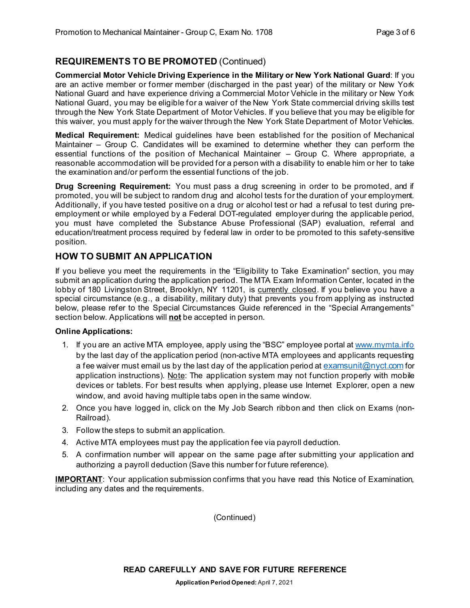#### **REQUIREMENTS TO BE PROMOTED** (Continued)

**Commercial Motor Vehicle Driving Experience in the Military or New York National Guard**: If you are an active member or former member (discharged in the past year) of the military or New York National Guard and have experience driving a Commercial Motor Vehicle in the military or New York National Guard, you may be eligible for a waiver of the New York State commercial driving skills test through the New York State Department of Motor Vehicles. If you believe that you may be eligible for this waiver, you must apply for the waiver through the New York State Department of Motor Vehicles.

**Medical Requirement:** Medical guidelines have been established for the position of Mechanical Maintainer – Group C. Candidates will be examined to determine whether they can perform the essential functions of the position of Mechanical Maintainer – Group C. Where appropriate, a reasonable accommodation will be provided for a person with a disability to enable him or her to take the examination and/or perform the essential functions of the job.

**Drug Screening Requirement:** You must pass a drug screening in order to be promoted, and if promoted, you will be subject to random drug and alcohol tests for the duration of your employment. Additionally, if you have tested positive on a drug or alcohol test or had a refusal to test during preemployment or while employed by a Federal DOT-regulated employer during the applicable period, you must have completed the Substance Abuse Professional (SAP) evaluation, referral and education/treatment process required by federal law in order to be promoted to this safety-sensitive position.

#### **HOW TO SUBMIT AN APPLICATION**

If you believe you meet the requirements in the "Eligibility to Take Examination" section, you may submit an application during the application period. The MTA Exam Information Center, located in the lobby of 180 Livingston Street, Brooklyn, NY 11201, is currently closed. If you believe you have a special circumstance (e.g., a disability, military duty) that prevents you from applying as instructed below, please refer to the Special Circumstances Guide referenced in the "Special Arrangements" section below. Applications will **not** be accepted in person.

#### **Online Applications:**

- 1. If you are an active MTA employee, apply using the "BSC" employee portal at [www.mymta.info](http://www.mymta.info/) by the last day of the application period (non-active MTA employees and applicants requesting a fee waiver must email us by the last day of the application period a[t examsunit@nyct.com](mailto:examsunit@nyct.com) for application instructions). Note: The application system may not function properly with mobile devices or tablets. For best results when applying, please use Internet Explorer, open a new window, and avoid having multiple tabs open in the same window.
- 2. Once you have logged in, click on the My Job Search ribbon and then click on Exams (non-Railroad).
- 3. Follow the steps to submit an application.
- 4. Active MTA employees must pay the application fee via payroll deduction.
- 5. A confirmation number will appear on the same page after submitting your application and authorizing a payroll deduction (Save this number for future reference).

**IMPORTANT**: Your application submission confirms that you have read this Notice of Examination, including any dates and the requirements.

(Continued)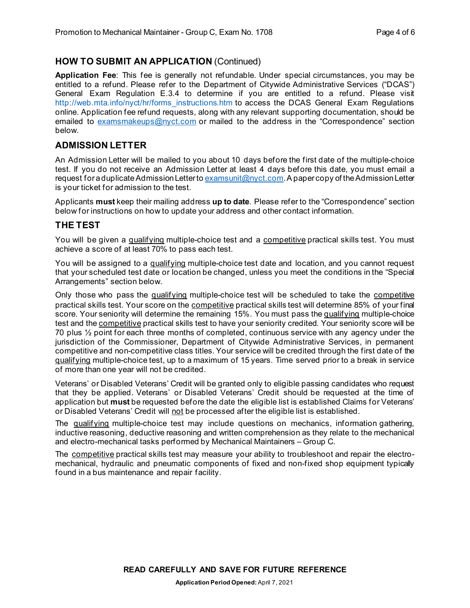#### **HOW TO SUBMIT AN APPLICATION** (Continued)

**Application Fee**: This fee is generally not refundable. Under special circumstances, you may be entitled to a refund. Please refer to the Department of Citywide Administrative Services ("DCAS") General Exam Regulation E.3.4 to determine if you are entitled to a refund. Please visit [http://web.mta.info/nyct/hr/forms\\_instructions.htm](http://web.mta.info/nyct/hr/forms_instructions.htm) to access the DCAS General Exam Regulations online. Application fee refund requests, along with any relevant supporting documentation, should be emailed to [examsmakeups@nyct.com](mailto:examsmakeups@nyct.com) or mailed to the address in the "Correspondence" section below.

### **ADMISSION LETTER**

An Admission Letter will be mailed to you about 10 days before the first date of the multiple-choice test. If you do not receive an Admission Letter at least 4 days before this date, you must email a request for a duplicate Admission Letter to  $\frac{examsunit(Qnyct.com)}{R}$ . A paper copy of the Admission Letter is your ticket for admission to the test.

Applicants **must** keep their mailing address **up to date**. Please refer to the "Correspondence" section below for instructions on how to update your address and other contact information.

#### **THE TEST**

You will be given a qualifying multiple-choice test and a competitive practical skills test. You must achieve a score of at least 70% to pass each test.

You will be assigned to a qualifying multiple-choice test date and location, and you cannot request that your scheduled test date or location be changed, unless you meet the conditions in the "Special Arrangements" section below.

Only those who pass the qualifying multiple-choice test will be scheduled to take the competitive practical skills test. Your score on the competitive practical skills test will determine 85% of your final score. Your seniority will determine the remaining 15%. You must pass the qualifying multiple-choice test and the competitive practical skills test to have your seniority credited. Your seniority score will be 70 plus ½ point for each three months of completed, continuous service with any agency under the jurisdiction of the Commissioner, Department of Citywide Administrative Services, in permanent competitive and non-competitive class titles. Your service will be credited through the first date of the qualifying multiple-choice test, up to a maximum of 15 years. Time served prior to a break in service of more than one year will not be credited.

Veterans' or Disabled Veterans' Credit will be granted only to eligible passing candidates who request that they be applied. Veterans' or Disabled Veterans' Credit should be requested at the time of application but **must** be requested before the date the eligible list is established Claims for Veterans' or Disabled Veterans' Credit will not be processed after the eligible list is established.

The qualifying multiple-choice test may include questions on mechanics, information gathering, inductive reasoning, deductive reasoning and written comprehension as they relate to the mechanical and electro-mechanical tasks performed by Mechanical Maintainers – Group C.

The competitive practical skills test may measure your ability to troubleshoot and repair the electromechanical, hydraulic and pneumatic components of fixed and non-fixed shop equipment typically found in a bus maintenance and repair facility.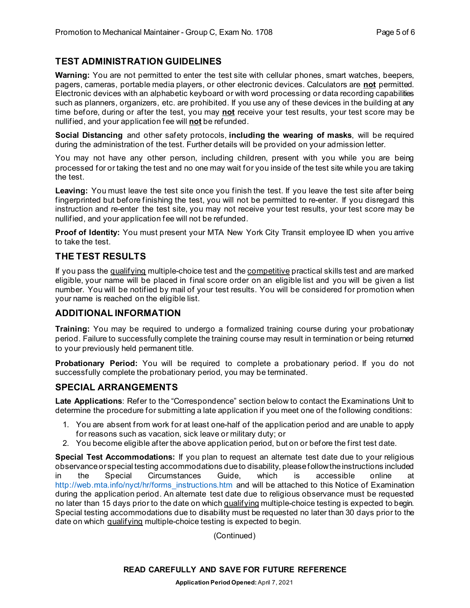# **TEST ADMINISTRATION GUIDELINES**

**Warning:** You are not permitted to enter the test site with cellular phones, smart watches, beepers, pagers, cameras, portable media players, or other electronic devices. Calculators are **not** permitted. Electronic devices with an alphabetic keyboard or with word processing or data recording capabilities such as planners, organizers, etc. are prohibited. If you use any of these devices in the building at any time before, during or after the test, you may **not** receive your test results, your test score may be nullified, and your application fee will **not** be refunded.

**Social Distancing** and other safety protocols, **including the wearing of masks**, will be required during the administration of the test. Further details will be provided on your admission letter.

You may not have any other person, including children, present with you while you are being processed for or taking the test and no one may wait for you inside of the test site while you are taking the test.

**Leaving:** You must leave the test site once you finish the test. If you leave the test site after being fingerprinted but before finishing the test, you will not be permitted to re-enter. If you disregard this instruction and re-enter the test site, you may not receive your test results, your test score may be nullified, and your application fee will not be refunded.

**Proof of Identity:** You must present your MTA New York City Transit employee ID when you arrive to take the test.

#### **THE TEST RESULTS**

If you pass the qualifying multiple-choice test and the competitive practical skills test and are marked eligible, your name will be placed in final score order on an eligible list and you will be given a list number. You will be notified by mail of your test results. You will be considered for promotion when your name is reached on the eligible list.

#### **ADDITIONAL INFORMATION**

**Training:** You may be required to undergo a formalized training course during your probationary period. Failure to successfully complete the training course may result in termination or being returned to your previously held permanent title.

**Probationary Period:** You will be required to complete a probationary period. If you do not successfully complete the probationary period, you may be terminated.

#### **SPECIAL ARRANGEMENTS**

**Late Applications**: Refer to the "Correspondence" section below to contact the Examinations Unit to determine the procedure for submitting a late application if you meet one of the following conditions:

- 1. You are absent from work for at least one-half of the application period and are unable to apply for reasons such as vacation, sick leave or military duty; or
- 2. You become eligible after the above application period, but on or before the first test date.

**Special Test Accommodations:** If you plan to request an alternate test date due to your religious observance or special testing accommodations due to disability, please follow the instructions included in the Special Circumstances Guide, which is accessible online at [http://web.mta.info/nyct/hr/forms\\_instructions.htm](http://web.mta.info/nyct/hr/forms_instructions.htm) and will be attached to this Notice of Examination during the application period. An alternate test date due to religious observance must be requested no later than 15 days prior to the date on which qualifying multiple-choice testing is expected to begin. Special testing accommodations due to disability must be requested no later than 30 days prior to the date on which qualifying multiple-choice testing is expected to begin.

(Continued)